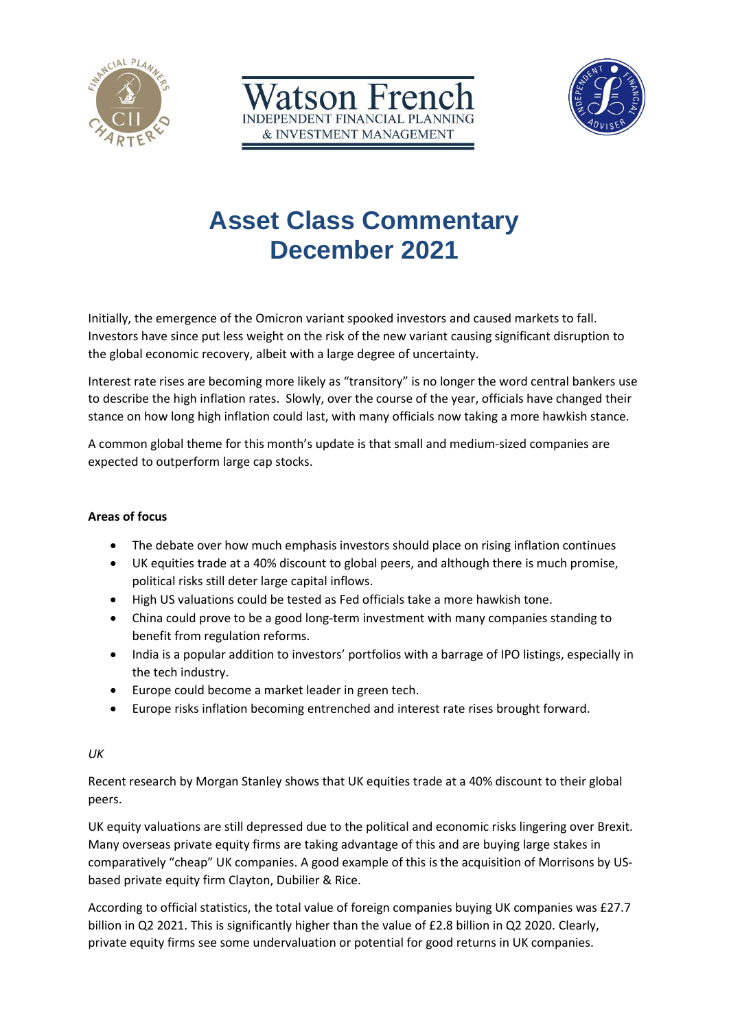





# **Asset Class Commentary December 2021**

Initially, the emergence of the Omicron variant spooked investors and caused markets to fall. Investors have since put less weight on the risk of the new variant causing significant disruption to the global economic recovery, albeit with a large degree of uncertainty.

Interest rate rises are becoming more likely as "transitory" is no longer the word central bankers use to describe the high inflation rates. Slowly, over the course of the year, officials have changed their stance on how long high inflation could last, with many officials now taking a more hawkish stance.

A common global theme for this month's update is that small and medium-sized companies are expected to outperform large cap stocks.

## **Areas of focus**

- The debate over how much emphasis investors should place on rising inflation continues
- UK equities trade at a 40% discount to global peers, and although there is much promise, political risks still deter large capital inflows.
- High US valuations could be tested as Fed officials take a more hawkish tone.
- China could prove to be a good long-term investment with many companies standing to benefit from regulation reforms.
- India is a popular addition to investors' portfolios with a barrage of IPO listings, especially in the tech industry.
- Europe could become a market leader in green tech.
- Europe risks inflation becoming entrenched and interest rate rises brought forward.

## *UK*

Recent research by Morgan Stanley shows that UK equities trade at a 40% discount to their global peers.

UK equity valuations are still depressed due to the political and economic risks lingering over Brexit. Many overseas private equity firms are taking advantage of this and are buying large stakes in comparatively "cheap" UK companies. A good example of this is the acquisition of Morrisons by USbased private equity firm Clayton, Dubilier & Rice.

According to official statistics, the total value of foreign companies buying UK companies was £27.7 billion in Q2 2021. This is significantly higher than the value of £2.8 billion in Q2 2020. Clearly, private equity firms see some undervaluation or potential for good returns in UK companies.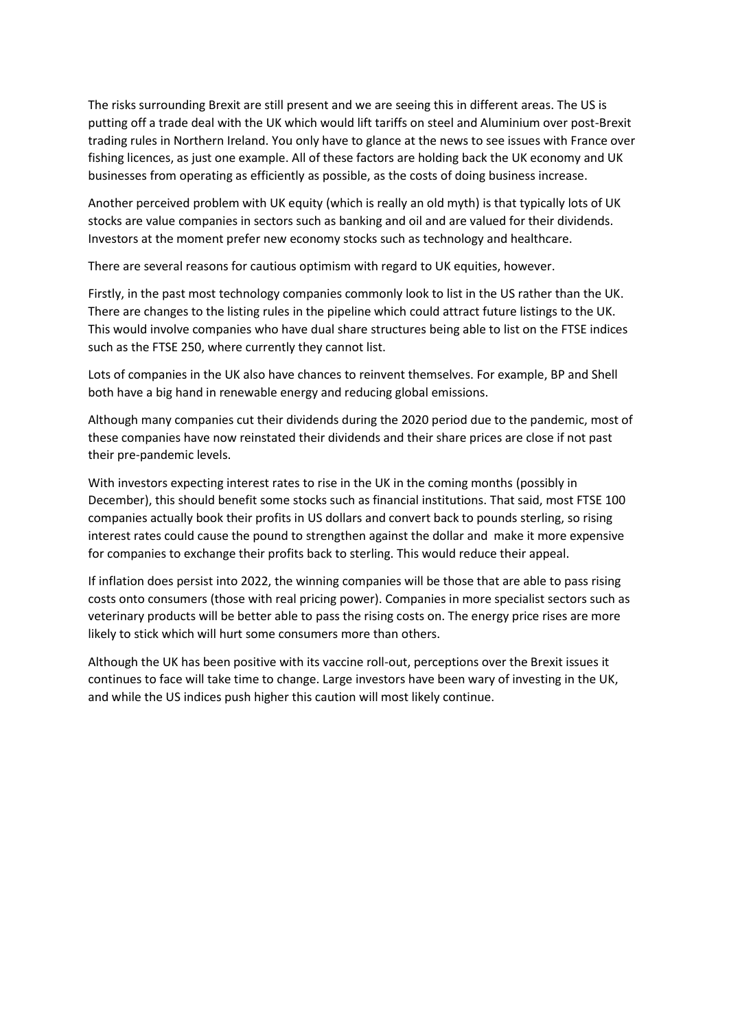The risks surrounding Brexit are still present and we are seeing this in different areas. The US is putting off a trade deal with the UK which would lift tariffs on steel and Aluminium over post-Brexit trading rules in Northern Ireland. You only have to glance at the news to see issues with France over fishing licences, as just one example. All of these factors are holding back the UK economy and UK businesses from operating as efficiently as possible, as the costs of doing business increase.

Another perceived problem with UK equity (which is really an old myth) is that typically lots of UK stocks are value companies in sectors such as banking and oil and are valued for their dividends. Investors at the moment prefer new economy stocks such as technology and healthcare.

There are several reasons for cautious optimism with regard to UK equities, however.

Firstly, in the past most technology companies commonly look to list in the US rather than the UK. There are changes to the listing rules in the pipeline which could attract future listings to the UK. This would involve companies who have dual share structures being able to list on the FTSE indices such as the FTSE 250, where currently they cannot list.

Lots of companies in the UK also have chances to reinvent themselves. For example, BP and Shell both have a big hand in renewable energy and reducing global emissions.

Although many companies cut their dividends during the 2020 period due to the pandemic, most of these companies have now reinstated their dividends and their share prices are close if not past their pre-pandemic levels.

With investors expecting interest rates to rise in the UK in the coming months (possibly in December), this should benefit some stocks such as financial institutions. That said, most FTSE 100 companies actually book their profits in US dollars and convert back to pounds sterling, so rising interest rates could cause the pound to strengthen against the dollar and make it more expensive for companies to exchange their profits back to sterling. This would reduce their appeal.

If inflation does persist into 2022, the winning companies will be those that are able to pass rising costs onto consumers (those with real pricing power). Companies in more specialist sectors such as veterinary products will be better able to pass the rising costs on. The energy price rises are more likely to stick which will hurt some consumers more than others.

Although the UK has been positive with its vaccine roll-out, perceptions over the Brexit issues it continues to face will take time to change. Large investors have been wary of investing in the UK, and while the US indices push higher this caution will most likely continue.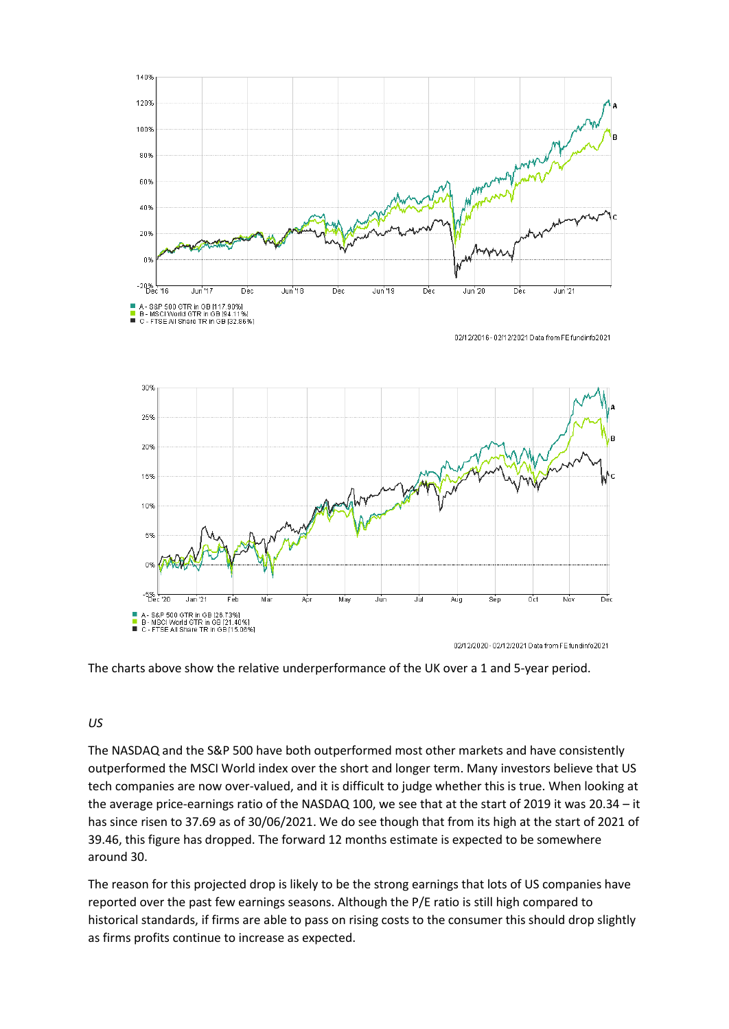

The charts above show the relative underperformance of the UK over a 1 and 5-year period.

# *US*

The NASDAQ and the S&P 500 have both outperformed most other markets and have consistently outperformed the MSCI World index over the short and longer term. Many investors believe that US tech companies are now over-valued, and it is difficult to judge whether this is true. When looking at the average price-earnings ratio of the NASDAQ 100, we see that at the start of 2019 it was 20.34 – it has since risen to 37.69 as of 30/06/2021. We do see though that from its high at the start of 2021 of 39.46, this figure has dropped. The forward 12 months estimate is expected to be somewhere around 30.

The reason for this projected drop is likely to be the strong earnings that lots of US companies have reported over the past few earnings seasons. Although the P/E ratio is still high compared to historical standards, if firms are able to pass on rising costs to the consumer this should drop slightly as firms profits continue to increase as expected.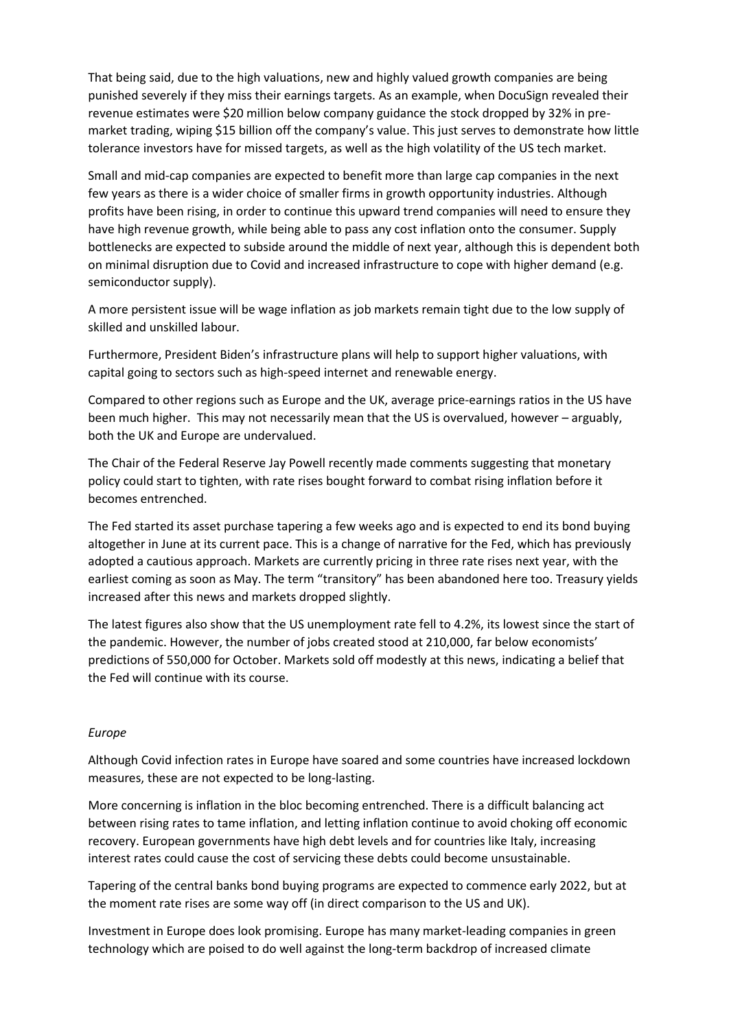That being said, due to the high valuations, new and highly valued growth companies are being punished severely if they miss their earnings targets. As an example, when DocuSign revealed their revenue estimates were \$20 million below company guidance the stock dropped by 32% in premarket trading, wiping \$15 billion off the company's value. This just serves to demonstrate how little tolerance investors have for missed targets, as well as the high volatility of the US tech market.

Small and mid-cap companies are expected to benefit more than large cap companies in the next few years as there is a wider choice of smaller firms in growth opportunity industries. Although profits have been rising, in order to continue this upward trend companies will need to ensure they have high revenue growth, while being able to pass any cost inflation onto the consumer. Supply bottlenecks are expected to subside around the middle of next year, although this is dependent both on minimal disruption due to Covid and increased infrastructure to cope with higher demand (e.g. semiconductor supply).

A more persistent issue will be wage inflation as job markets remain tight due to the low supply of skilled and unskilled labour.

Furthermore, President Biden's infrastructure plans will help to support higher valuations, with capital going to sectors such as high-speed internet and renewable energy.

Compared to other regions such as Europe and the UK, average price-earnings ratios in the US have been much higher. This may not necessarily mean that the US is overvalued, however – arguably, both the UK and Europe are undervalued.

The Chair of the Federal Reserve Jay Powell recently made comments suggesting that monetary policy could start to tighten, with rate rises bought forward to combat rising inflation before it becomes entrenched.

The Fed started its asset purchase tapering a few weeks ago and is expected to end its bond buying altogether in June at its current pace. This is a change of narrative for the Fed, which has previously adopted a cautious approach. Markets are currently pricing in three rate rises next year, with the earliest coming as soon as May. The term "transitory" has been abandoned here too. Treasury yields increased after this news and markets dropped slightly.

The latest figures also show that the US unemployment rate fell to 4.2%, its lowest since the start of the pandemic. However, the number of jobs created stood at 210,000, far below economists' predictions of 550,000 for October. Markets sold off modestly at this news, indicating a belief that the Fed will continue with its course.

### *Europe*

Although Covid infection rates in Europe have soared and some countries have increased lockdown measures, these are not expected to be long-lasting.

More concerning is inflation in the bloc becoming entrenched. There is a difficult balancing act between rising rates to tame inflation, and letting inflation continue to avoid choking off economic recovery. European governments have high debt levels and for countries like Italy, increasing interest rates could cause the cost of servicing these debts could become unsustainable.

Tapering of the central banks bond buying programs are expected to commence early 2022, but at the moment rate rises are some way off (in direct comparison to the US and UK).

Investment in Europe does look promising. Europe has many market-leading companies in green technology which are poised to do well against the long-term backdrop of increased climate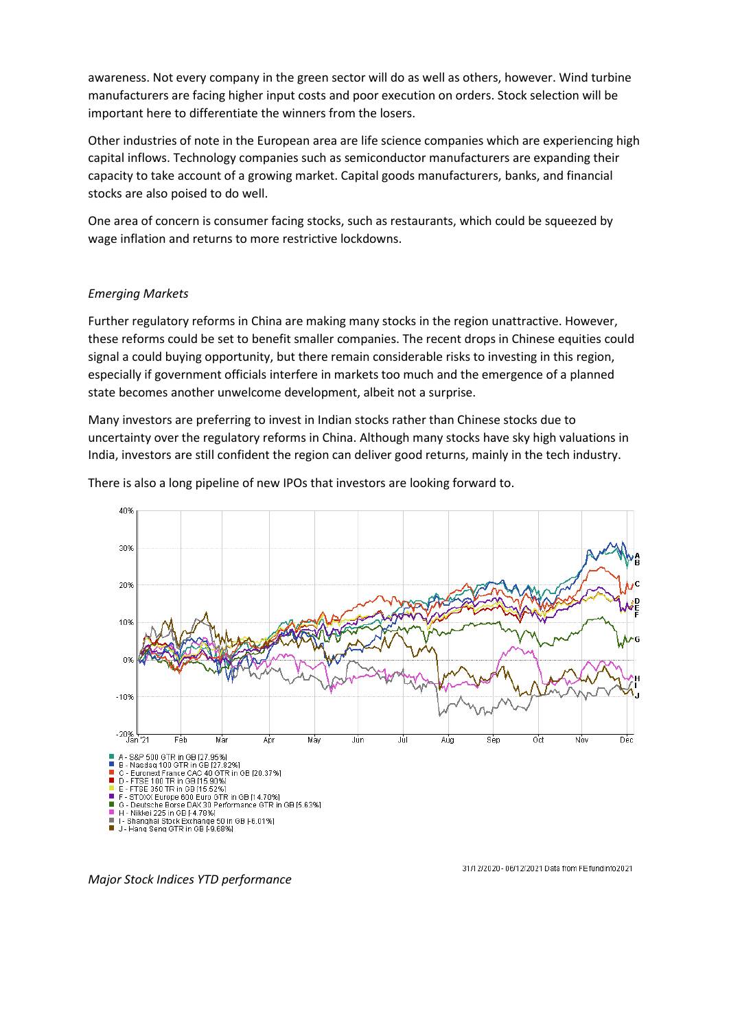awareness. Not every company in the green sector will do as well as others, however. Wind turbine manufacturers are facing higher input costs and poor execution on orders. Stock selection will be important here to differentiate the winners from the losers.

Other industries of note in the European area are life science companies which are experiencing high capital inflows. Technology companies such as semiconductor manufacturers are expanding their capacity to take account of a growing market. Capital goods manufacturers, banks, and financial stocks are also poised to do well.

One area of concern is consumer facing stocks, such as restaurants, which could be squeezed by wage inflation and returns to more restrictive lockdowns.

### *Emerging Markets*

Further regulatory reforms in China are making many stocks in the region unattractive. However, these reforms could be set to benefit smaller companies. The recent drops in Chinese equities could signal a could buying opportunity, but there remain considerable risks to investing in this region, especially if government officials interfere in markets too much and the emergence of a planned state becomes another unwelcome development, albeit not a surprise.

Many investors are preferring to invest in Indian stocks rather than Chinese stocks due to uncertainty over the regulatory reforms in China. Although many stocks have sky high valuations in India, investors are still confident the region can deliver good returns, mainly in the tech industry.



There is also a long pipeline of new IPOs that investors are looking forward to.

*Major Stock Indices YTD performance*

31/12/2020 - 06/12/2021 Data from FE fundinfo2021